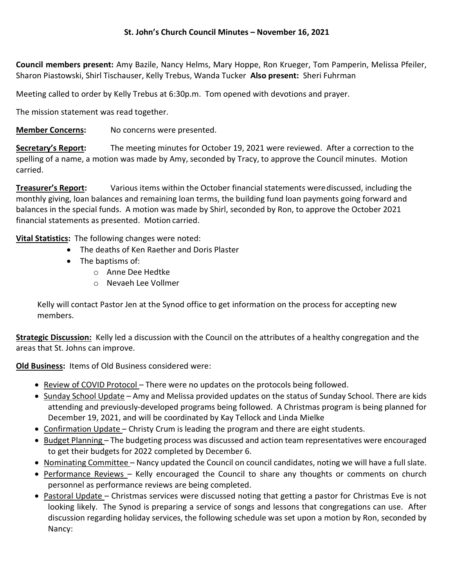Council members present: Amy Bazile, Nancy Helms, Mary Hoppe, Ron Krueger, Tom Pamperin, Melissa Pfeiler, Sharon Piastowski, Shirl Tischauser, Kelly Trebus, Wanda Tucker Also present: Sheri Fuhrman

Meeting called to order by Kelly Trebus at 6:30p.m. Tom opened with devotions and prayer.

The mission statement was read together.

Member Concerns: No concerns were presented.

Secretary's Report: The meeting minutes for October 19, 2021 were reviewed. After a correction to the spelling of a name, a motion was made by Amy, seconded by Tracy, to approve the Council minutes. Motion carried.

**Treasurer's Report:** Various items within the October financial statements were discussed, including the monthly giving, loan balances and remaining loan terms, the building fund loan payments going forward and balances in the special funds. A motion was made by Shirl, seconded by Ron, to approve the October 2021 financial statements as presented. Motion carried.

Vital Statistics: The following changes were noted:

- The deaths of Ken Raether and Doris Plaster
- The baptisms of:
	- o Anne Dee Hedtke
	- o Nevaeh Lee Vollmer

Kelly will contact Pastor Jen at the Synod office to get information on the process for accepting new members.

Strategic Discussion: Kelly led a discussion with the Council on the attributes of a healthy congregation and the areas that St. Johns can improve.

Old Business: Items of Old Business considered were:

- Review of COVID Protocol There were no updates on the protocols being followed.
- Sunday School Update Amy and Melissa provided updates on the status of Sunday School. There are kids attending and previously-developed programs being followed. A Christmas program is being planned for December 19, 2021, and will be coordinated by Kay Tellock and Linda Mielke
- Confirmation Update Christy Crum is leading the program and there are eight students.
- Budget Planning The budgeting process was discussed and action team representatives were encouraged to get their budgets for 2022 completed by December 6.
- Nominating Committee Nancy updated the Council on council candidates, noting we will have a full slate.
- Performance Reviews Kelly encouraged the Council to share any thoughts or comments on church personnel as performance reviews are being completed.
- Pastoral Update Christmas services were discussed noting that getting a pastor for Christmas Eve is not looking likely. The Synod is preparing a service of songs and lessons that congregations can use. After discussion regarding holiday services, the following schedule was set upon a motion by Ron, seconded by Nancy: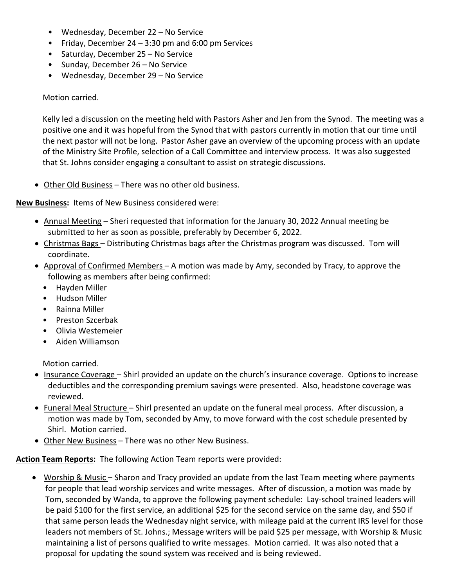- Wednesday, December 22 No Service
- Friday, December 24 3:30 pm and 6:00 pm Services
- Saturday, December 25 No Service
- Sunday, December 26 No Service
- Wednesday, December 29 No Service

## Motion carried.

Kelly led a discussion on the meeting held with Pastors Asher and Jen from the Synod. The meeting was a positive one and it was hopeful from the Synod that with pastors currently in motion that our time until the next pastor will not be long. Pastor Asher gave an overview of the upcoming process with an update of the Ministry Site Profile, selection of a Call Committee and interview process. It was also suggested that St. Johns consider engaging a consultant to assist on strategic discussions.

Other Old Business – There was no other old business.

## New Business: Items of New Business considered were:

- Annual Meeting Sheri requested that information for the January 30, 2022 Annual meeting be submitted to her as soon as possible, preferably by December 6, 2022.
- Christmas Bags Distributing Christmas bags after the Christmas program was discussed. Tom will coordinate.
- $\bullet$  Approval of Confirmed Members A motion was made by Amy, seconded by Tracy, to approve the following as members after being confirmed:
	- Hayden Miller
	- Hudson Miller
	- Rainna Miller
	- Preston Szcerbak
	- Olivia Westemeier
	- Aiden Williamson

Motion carried.

- Insurance Coverage Shirl provided an update on the church's insurance coverage. Options to increase deductibles and the corresponding premium savings were presented. Also, headstone coverage was reviewed.
- Funeral Meal Structure Shirl presented an update on the funeral meal process. After discussion, a motion was made by Tom, seconded by Amy, to move forward with the cost schedule presented by Shirl. Motion carried.
- Other New Business There was no other New Business.

## Action Team Reports: The following Action Team reports were provided:

• Worship & Music - Sharon and Tracy provided an update from the last Team meeting where payments for people that lead worship services and write messages. After of discussion, a motion was made by Tom, seconded by Wanda, to approve the following payment schedule: Lay-school trained leaders will be paid \$100 for the first service, an additional \$25 for the second service on the same day, and \$50 if that same person leads the Wednesday night service, with mileage paid at the current IRS level for those leaders not members of St. Johns.; Message writers will be paid \$25 per message, with Worship & Music maintaining a list of persons qualified to write messages. Motion carried. It was also noted that a proposal for updating the sound system was received and is being reviewed.